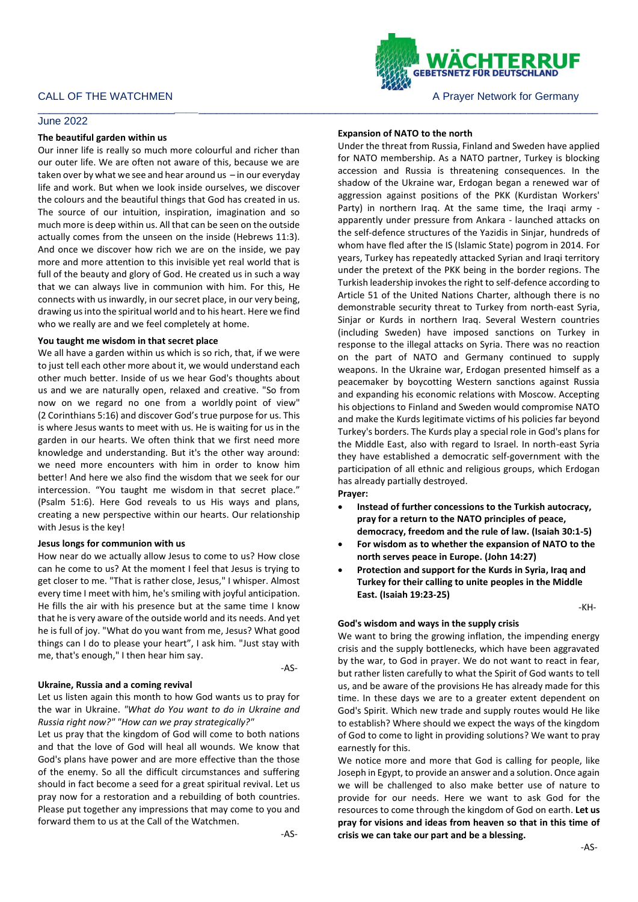# CALL OF THE WATCHMEN **A PRAYER A PRAYER A PRAYER OF STATE OF THE WATCHMEN** A PRAYER A PRAYER MOTOR OF A PRAYER OF GERMANY

## June 2022

### **The beautiful garden within us**

Our inner life is really so much more colourful and richer than our outer life. We are often not aware of this, because we are taken over by what we see and hear around us  $-$  in our everyday life and work. But when we look inside ourselves, we discover the colours and the beautiful things that God has created in us. The source of our intuition, inspiration, imagination and so much more is deep within us. All that can be seen on the outside actually comes from the unseen on the inside (Hebrews 11:3). And once we discover how rich we are on the inside, we pay more and more attention to this invisible yet real world that is full of the beauty and glory of God. He created us in such a way that we can always live in communion with him. For this, He connects with us inwardly, in our secret place, in our very being, drawing us into the spiritual world and to his heart. Here we find who we really are and we feel completely at home.

#### **You taught me wisdom in that secret place**

We all have a garden within us which is so rich, that, if we were to just tell each other more about it, we would understand each other much better. Inside of us we hear God's thoughts about us and we are naturally open, relaxed and creative. "So from now on we regard no one from a worldly point of view" (2 Corinthians 5:16) and discover God'strue purpose for us. This is where Jesus wants to meet with us. He is waiting for us in the garden in our hearts. We often think that we first need more knowledge and understanding. But it's the other way around: we need more encounters with him in order to know him better! And here we also find the wisdom that we seek for our intercession. "You taught me wisdom in that secret place." (Psalm 51:6). Here God reveals to us His ways and plans, creating a new perspective within our hearts. Our relationship with Jesus is the key!

## **Jesus longs for communion with us**

How near do we actually allow Jesus to come to us? How close can he come to us? At the moment I feel that Jesus is trying to get closer to me. "That is rather close, Jesus," I whisper. Almost every time I meet with him, he's smiling with joyful anticipation. He fills the air with his presence but at the same time I know that he is very aware of the outside world and its needs. And yet he is full of joy. "What do you want from me, Jesus? What good things can I do to please your heart", I ask him. "Just stay with me, that's enough," I then hear him say.

-AS-

#### **Ukraine, Russia and a coming revival**

Let us listen again this month to how God wants us to pray for the war in Ukraine. *"What do You want to do in Ukraine and Russia right now?" "How can we pray strategically?"*

Let us pray that the kingdom of God will come to both nations and that the love of God will heal all wounds. We know that God's plans have power and are more effective than the those of the enemy. So all the difficult circumstances and suffering should in fact become a seed for a great spiritual revival. Let us pray now for a restoration and a rebuilding of both countries. Please put together any impressions that may come to you and forward them to us at the Call of the Watchmen.



## **Expansion of NATO to the north**

\_\_\_\_\_\_\_\_\_\_\_\_\_\_\_\_\_\_\_\_\_\_\_*\_\_\_\_*\_\_\_\_\_\_\_\_\_\_\_\_\_\_\_\_\_\_\_\_\_\_\_\_\_\_\_\_\_\_\_\_\_\_\_\_\_\_\_\_\_\_\_\_\_\_\_\_\_\_\_\_\_\_\_\_\_\_\_\_\_\_\_\_\_\_\_

Under the threat from Russia, Finland and Sweden have applied for NATO membership. As a NATO partner, Turkey is blocking accession and Russia is threatening consequences. In the shadow of the Ukraine war, Erdogan began a renewed war of aggression against positions of the PKK (Kurdistan Workers' Party) in northern Iraq. At the same time, the Iraqi army apparently under pressure from Ankara - launched attacks on the self-defence structures of the Yazidis in Sinjar, hundreds of whom have fled after the IS (Islamic State) pogrom in 2014. For years, Turkey has repeatedly attacked Syrian and Iraqi territory under the pretext of the PKK being in the border regions. The Turkish leadership invokes the right to self-defence according to Article 51 of the United Nations Charter, although there is no demonstrable security threat to Turkey from north-east Syria, Sinjar or Kurds in northern Iraq. Several Western countries (including Sweden) have imposed sanctions on Turkey in response to the illegal attacks on Syria. There was no reaction on the part of NATO and Germany continued to supply weapons. In the Ukraine war, Erdogan presented himself as a peacemaker by boycotting Western sanctions against Russia and expanding his economic relations with Moscow. Accepting his objections to Finland and Sweden would compromise NATO and make the Kurds legitimate victims of his policies far beyond Turkey's borders. The Kurds play a special role in God's plans for the Middle East, also with regard to Israel. In north-east Syria they have established a democratic self-government with the participation of all ethnic and religious groups, which Erdogan has already partially destroyed.

**Prayer:**

- **Instead of further concessions to the Turkish autocracy, pray for a return to the NATO principles of peace, democracy, freedom and the rule of law. (Isaiah 30:1-5)**
- **For wisdom as to whether the expansion of NATO to the north serves peace in Europe. (John 14:27)**
- **Protection and support for the Kurds in Syria, Iraq and Turkey for their calling to unite peoples in the Middle East. (Isaiah 19:23-25)**

-KH-

#### **God's wisdom and ways in the supply crisis**

We want to bring the growing inflation, the impending energy crisis and the supply bottlenecks, which have been aggravated by the war, to God in prayer. We do not want to react in fear, but rather listen carefully to what the Spirit of God wants to tell us, and be aware of the provisions He has already made for this time. In these days we are to a greater extent dependent on God's Spirit. Which new trade and supply routes would He like to establish? Where should we expect the ways of the kingdom of God to come to light in providing solutions? We want to pray earnestly for this.

We notice more and more that God is calling for people, like Joseph in Egypt, to provide an answer and a solution. Once again we will be challenged to also make better use of nature to provide for our needs. Here we want to ask God for the resources to come through the kingdom of God on earth. **Let us pray for visions and ideas from heaven so that in this time of crisis we can take our part and be a blessing.**